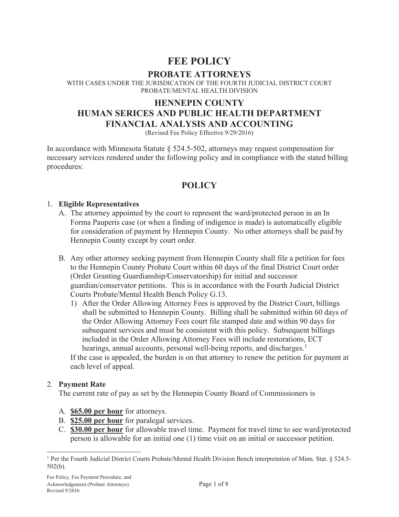# **FEE POLICY**

**PROBATE ATTORNEYS**<br>WITH CASES UNDER THE JURISDICATION OF THE FOURTH JUDICIAL DISTRICT COURT PROBATE/MENTAL HEALTH DIVISION

# **HENNEPIN COUNTY HUMAN SERICES AND PUBLIC HEALTH DEPARTMENT FINANCIAL ANALYSIS AND ACCOUNTING**

(Revised Fee Policy Effective 9/29/2016)

In accordance with Minnesota Statute  $\S$  524.5-502, attorneys may request compensation for necessary services rendered under the following policy and in compliance with the stated billing procedures:

# **POLICY**

#### 1. **Eligible Representatives**

- A. The attorney appointed by the court to represent the ward/protected person in an In Forma Pauperis case (or when a finding of indigence is made) is automatically eligible for consideration of payment by Hennepin County. No other attorneys shall be paid by Hennepin County except by court order.
- B. Any other attorney seeking payment from Hennepin County shall file a petition for fees to the Hennepin County Probate Court within 60 days of the final District Court order (Order Granting Guardianship/Conservatorship) for initial and successor guardian/conservator petitions. This is in accordance with the Fourth Judicial District Courts Probate/Mental Health Bench Policy G.13.
	- 1) After the Order Allowing Attorney Fees is approved by the District Court, billings shall be submitted to Hennepin County. Billing shall be submitted within 60 days of the Order Allowing Attorney Fees court file stamped date and within 90 days for subsequent services and must be consistent with this policy. Subsequent billings included in the Order Allowing Attorney Fees will include restorations, ECT hearings, annual accounts, personal well-being reports, and discharges.<sup>1</sup> If the case is appealed, the burden is on that attorney to renew the petition for payment at each level of appeal.

#### 2. **Payment Rate**

The current rate of pay as set by the Hennepin County Board of Commissioners is

- A. **\$65.00 per hour** for attorneys.
- B. **\$25.00 per hour** for paralegal services.
- C. **\$30.00 per hour** for allowable travel time. Payment for travel time to see ward/protected person is allowable for an initial one (1) time visit on an initial or successor petition.

<sup>1</sup> Per the Fourth Judicial District Courts Probate/Mental Health Division Bench interpretation of Minn. Stat. § 524.5- 502(b).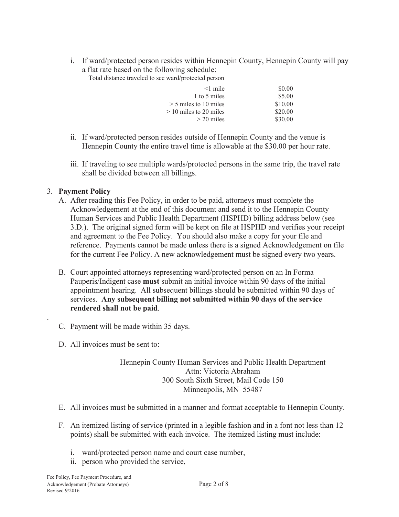i. If ward/protected person resides within Hennepin County, Hennepin County will pay a flat rate based on the following schedule:

Total distance traveled to see ward/protected person

| $<$ l mile               | \$0.00  |
|--------------------------|---------|
| 1 to 5 miles             | \$5.00  |
| $>$ 5 miles to 10 miles  | \$10.00 |
| $>$ 10 miles to 20 miles | \$20.00 |
| $>$ 20 miles             | \$30.00 |

- ii. If ward/protected person resides outside of Hennepin County and the venue is Hennepin County the entire travel time is allowable at the \$30.00 per hour rate.
- iii. If traveling to see multiple wards/protected persons in the same trip, the travel rate shall be divided between all billings.

#### 3. **Payment Policy**

.

- A. After reading this Fee Policy, in order to be paid, attorneys must complete the Acknowledgement at the end of this document and send it to the Hennepin County Human Services and Public Health Department (HSPHD) billing address below (see 3.D.). The original signed form will be kept on file at HSPHD and verifies your receipt and agreement to the Fee Policy. You should also make a copy for your file and reference. Payments cannot be made unless there is a signed Acknowledgement on file for the current Fee Policy. A new acknowledgement must be signed every two years.
- B. Court appointed attorneys representing ward/protected person on an In Forma Pauperis/Indigent case **must** submit an initial invoice within 90 days of the initial appointment hearing. All subsequent billings should be submitted within 90 days of services. **Any subsequent billing not submitted within 90 days of the service rendered shall not be paid**.
- C. Payment will be made within 35 days.
- D. All invoices must be sent to:

#### Hennepin County Human Services and Public Health Department Attn: Victoria Abraham 300 South Sixth Street, Mail Code 150 Minneapolis, MN 55487

- E. All invoices must be submitted in a manner and format acceptable to Hennepin County.
- F. An itemized listing of service (printed in a legible fashion and in a font not less than 12 points) shall be submitted with each invoice. The itemized listing must include:
	- i. ward/protected person name and court case number,
	- ii. person who provided the service,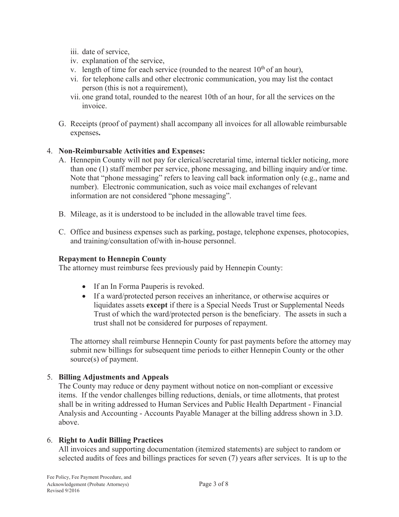- iii. date of service,
- iv. explanation of the service,
- v. length of time for each service (rounded to the nearest  $10^{th}$  of an hour),
- vi. for telephone calls and other electronic communication, you may list the contact person (this is not a requirement),
- vii. one grand total, rounded to the nearest 10th of an hour, for all the services on the invoice.
- G. Receipts (proof of payment) shall accompany all invoices for all allowable reimbursable expenses**.**

#### 4. **Non-Reimbursable Activities and Expenses:**

- A. Hennepin County will not pay for clerical/secretarial time, internal tickler noticing, more than one (1) staff member per service, phone messaging, and billing inquiry and/or time. Note that "phone messaging" refers to leaving call back information only (e.g., name and number). Electronic communication, such as voice mail exchanges of relevant information are not considered "phone messaging".
- B. Mileage, as it is understood to be included in the allowable travel time fees.
- C. Office and business expenses such as parking, postage, telephone expenses, photocopies, and training/consultation of/with in-house personnel.

#### **Repayment to Hennepin County**

The attorney must reimburse fees previously paid by Hennepin County:

- If an In Forma Pauperis is revoked.
- If a ward/protected person receives an inheritance, or otherwise acquires or liquidates assets **except** if there is a Special Needs Trust or Supplemental Needs Trust of which the ward/protected person is the beneficiary. The assets in such a trust shall not be considered for purposes of repayment.

The attorney shall reimburse Hennepin County for past payments before the attorney may submit new billings for subsequent time periods to either Hennepin County or the other source(s) of payment.

#### 5. **Billing Adjustments and Appeals**

The County may reduce or deny payment without notice on non-compliant or excessive items. If the vendor challenges billing reductions, denials, or time allotments, that protest shall be in writing addressed to Human Services and Public Health Department - Financial Analysis and Accounting - Accounts Payable Manager at the billing address shown in 3.D. above.

#### 6. **Right to Audit Billing Practices**

All invoices and supporting documentation (itemized statements) are subject to random or selected audits of fees and billings practices for seven (7) years after services. It is up to the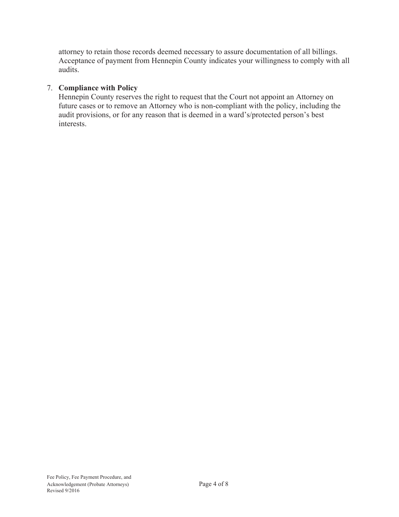attorney to retain those records deemed necessary to assure documentation of all billings. Acceptance of payment from Hennepin County indicates your willingness to comply with all audits.

#### 7. **Compliance with Policy**

Hennepin County reserves the right to request that the Court not appoint an Attorney on future cases or to remove an Attorney who is non-compliant with the policy, including the audit provisions, or for any reason that is deemed in a ward's/protected person's best interests.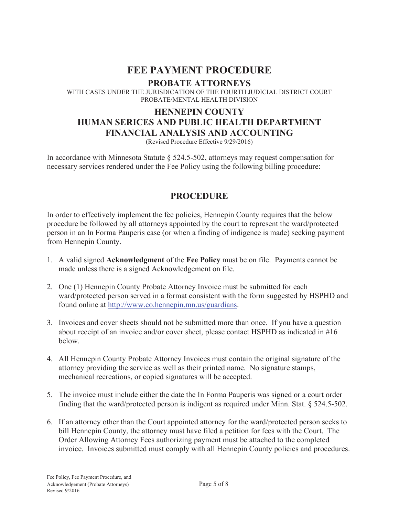# **FEE PAYMENT PROCEDURE**

**PROBATE ATTORNEYS**<br>WITH CASES UNDER THE JURISDICATION OF THE FOURTH JUDICIAL DISTRICT COURT PROBATE/MENTAL HEALTH DIVISION

# **HENNEPIN COUNTY HUMAN SERICES AND PUBLIC HEALTH DEPARTMENT FINANCIAL ANALYSIS AND ACCOUNTING**

(Revised Procedure Effective 9/29/2016)

In accordance with Minnesota Statute § 524.5-502, attorneys may request compensation for necessary services rendered under the Fee Policy using the following billing procedure:

## **PROCEDURE**

In order to effectively implement the fee policies, Hennepin County requires that the below procedure be followed by all attorneys appointed by the court to represent the ward/protected person in an In Forma Pauperis case (or when a finding of indigence is made) seeking payment from Hennepin County.

- 1. A valid signed **Acknowledgment** of the **Fee Policy** must be on file. Payments cannot be made unless there is a signed Acknowledgement on file.
- 2. One (1) Hennepin County Probate Attorney Invoice must be submitted for each ward/protected person served in a format consistent with the form suggested by HSPHD and found online at http://www.co.hennepin.mn.us/guardians.
- 3. Invoices and cover sheets should not be submitted more than once. If you have a question about receipt of an invoice and/or cover sheet, please contact HSPHD as indicated in #16 below.
- 4. All Hennepin County Probate Attorney Invoices must contain the original signature of the attorney providing the service as well as their printed name. No signature stamps, mechanical recreations, or copied signatures will be accepted.
- 5. The invoice must include either the date the In Forma Pauperis was signed or a court order finding that the ward/protected person is indigent as required under Minn. Stat. § 524.5-502.
- 6. If an attorney other than the Court appointed attorney for the ward/protected person seeks to bill Hennepin County, the attorney must have filed a petition for fees with the Court. The Order Allowing Attorney Fees authorizing payment must be attached to the completed invoice. Invoices submitted must comply with all Hennepin County policies and procedures.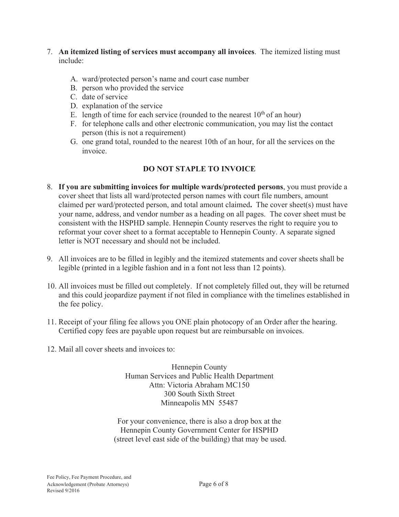- 7. **An itemized listing of services must accompany all invoices**. The itemized listing must include:
	- A. ward/protected person's name and court case number
	- B. person who provided the service
	- C. date of service
	- D. explanation of the service
	- E. length of time for each service (rounded to the nearest  $10<sup>th</sup>$  of an hour)
	- F. for telephone calls and other electronic communication, you may list the contact person (this is not a requirement)
	- G. one grand total, rounded to the nearest 10th of an hour, for all the services on the invoice.

### **DO NOT STAPLE TO INVOICE**

- 8. **If you are submitting invoices for multiple wards/protected persons**, you must provide a cover sheet that lists all ward/protected person names with court file numbers, amount claimed per ward/protected person, and total amount claimed**.** The cover sheet(s) must have your name, address, and vendor number as a heading on all pages. The cover sheet must be consistent with the HSPHD sample. Hennepin County reserves the right to require you to reformat your cover sheet to a format acceptable to Hennepin County. A separate signed letter is NOT necessary and should not be included.
- 9. All invoices are to be filled in legibly and the itemized statements and cover sheets shall be legible (printed in a legible fashion and in a font not less than 12 points).
- 10. All invoices must be filled out completely. If not completely filled out, they will be returned and this could jeopardize payment if not filed in compliance with the timelines established in the fee policy.
- 11. Receipt of your filing fee allows you ONE plain photocopy of an Order after the hearing. Certified copy fees are payable upon request but are reimbursable on invoices.
- 12. Mail all cover sheets and invoices to:

Hennepin County Human Services and Public Health Department Attn: Victoria Abraham MC150 300 South Sixth Street Minneapolis MN 55487

For your convenience, there is also a drop box at the Hennepin County Government Center for HSPHD (street level east side of the building) that may be used.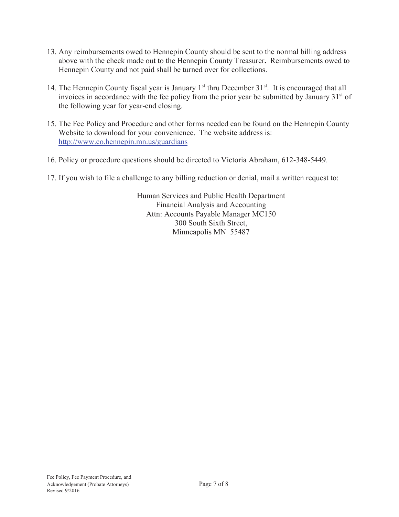- 13. Any reimbursements owed to Hennepin County should be sent to the normal billing address above with the check made out to the Hennepin County Treasurer**.** Reimbursements owed to Hennepin County and not paid shall be turned over for collections.
- 14. The Hennepin County fiscal year is January  $1<sup>st</sup>$  thru December  $31<sup>st</sup>$ . It is encouraged that all invoices in accordance with the fee policy from the prior year be submitted by January 31<sup>st</sup> of the following year for year-end closing.
- 15. The Fee Policy and Procedure and other forms needed can be found on the Hennepin County Website to download for your convenience. The website address is: http://www.co.hennepin.mn.us/guardians
- 16. Policy or procedure questions should be directed to Victoria Abraham, 612-348-5449.
- 17. If you wish to file a challenge to any billing reduction or denial, mail a written request to:

Human Services and Public Health Department Financial Analysis and Accounting Attn: Accounts Payable Manager MC150 300 South Sixth Street, Minneapolis MN 55487